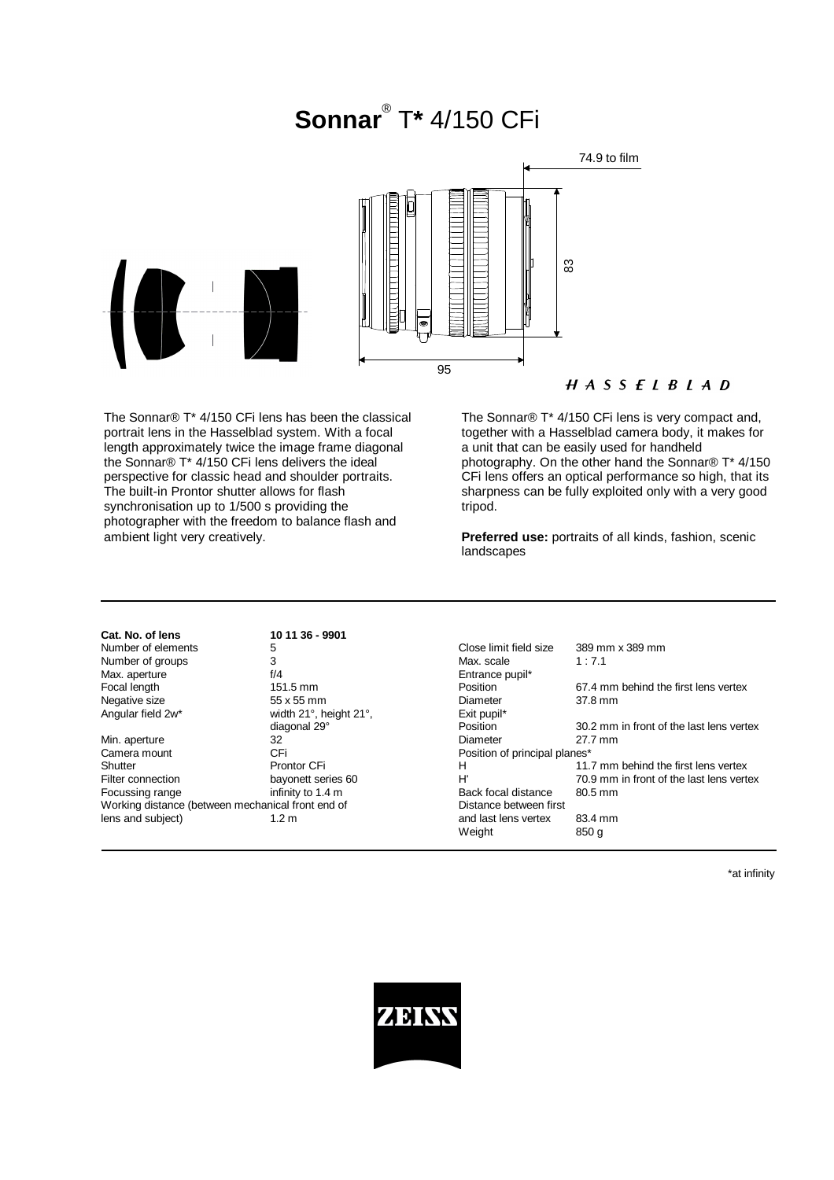# **Sonnar**® T**\*** 4/150 CFi



## $H A S S E L B L A D$

The Sonnar® T\* 4/150 CFi lens has been the classical portrait lens in the Hasselblad system. With a focal length approximately twice the image frame diagonal the Sonnar® T\* 4/150 CFi lens delivers the ideal perspective for classic head and shoulder portraits. The built-in Prontor shutter allows for flash synchronisation up to 1/500 s providing the photographer with the freedom to balance flash and ambient light very creatively.

The Sonnar® T\* 4/150 CFi lens is very compact and, together with a Hasselblad camera body, it makes for a unit that can be easily used for handheld photography. On the other hand the Sonnar® T\* 4/150 CFi lens offers an optical performance so high, that its sharpness can be fully exploited only with a very good tripod.

**Preferred use:** portraits of all kinds, fashion, scenic landscapes

| Cat. No. of lens                                  | 10 11 36 - 9901        |                               |                                          |
|---------------------------------------------------|------------------------|-------------------------------|------------------------------------------|
| Number of elements                                | 5                      | Close limit field size        | 389 mm x 389 mm                          |
| Number of groups                                  | 3                      | Max. scale                    | 1:7.1                                    |
| Max. aperture                                     | f/4                    | Entrance pupil*               |                                          |
| Focal length                                      | $151.5 \text{ mm}$     | <b>Position</b>               | 67.4 mm behind the first lens vertex     |
| Negative size                                     | 55 x 55 mm             | Diameter                      | 37.8 mm                                  |
| Angular field 2w*                                 | width 21°, height 21°, | Exit pupil*                   |                                          |
|                                                   | diagonal 29°           | Position                      | 30.2 mm in front of the last lens vertex |
| Min. aperture                                     | 32                     | Diameter                      | 27.7 mm                                  |
| Camera mount                                      | CFi                    | Position of principal planes* |                                          |
| Shutter                                           | Prontor CFi            | н                             | 11.7 mm behind the first lens vertex     |
| Filter connection                                 | bayonett series 60     | H'                            | 70.9 mm in front of the last lens vertex |
| Focussing range                                   | infinity to 1.4 m      | Back focal distance           | 80.5 mm                                  |
| Working distance (between mechanical front end of |                        | Distance between first        |                                          |
| lens and subject)                                 | 1.2 <sub>m</sub>       | and last lens vertex          | 83.4 mm                                  |
|                                                   |                        | Weight                        | 850 g                                    |

\*at infinity